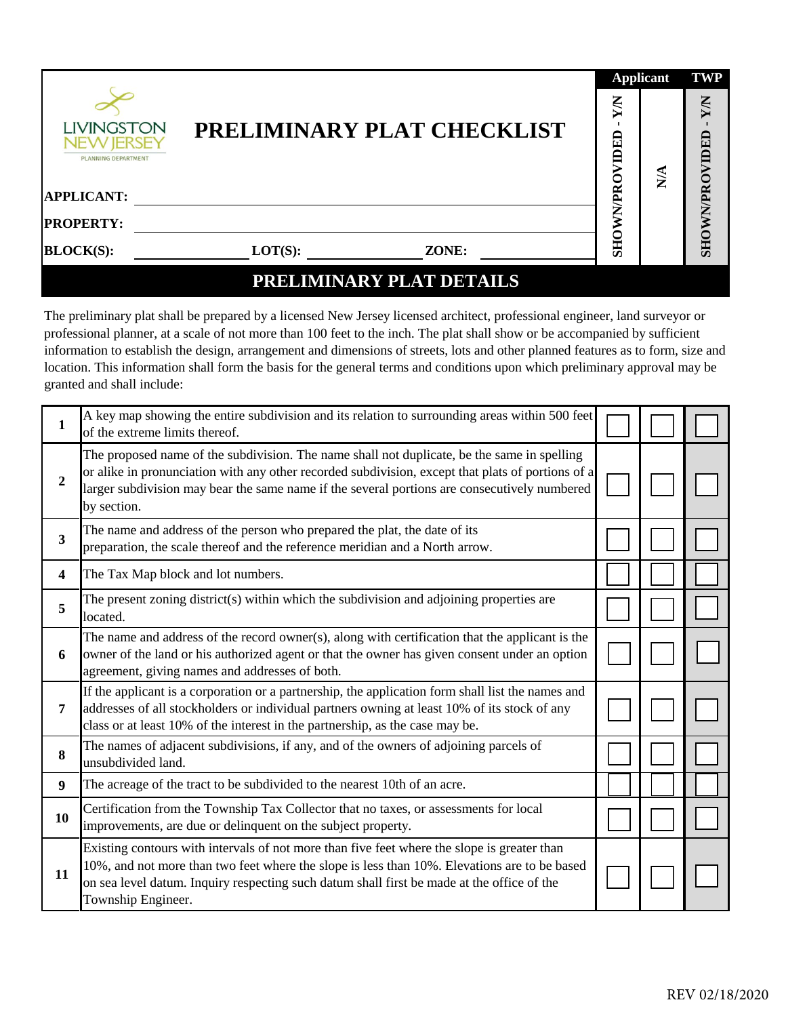|                                                        |                            | <b>Applicant</b>      |                  | <b>TWP</b> |
|--------------------------------------------------------|----------------------------|-----------------------|------------------|------------|
| LIVINGSTON<br>PLANNING DEPARTMENT<br><b>APPLICANT:</b> | PRELIMINARY PLAT CHECKLIST | XN<br>VIDED<br>WN/PRO | $\sum_{i=1}^{n}$ | XN<br>DED  |
|                                                        |                            |                       |                  |            |
| <b>PROPERTY:</b>                                       |                            |                       |                  |            |
| <b>BLOCK(S):</b>                                       | $LOT(S)$ :<br>ZONE:        | <b>SHO</b>            |                  | SHOWN/PRO  |
|                                                        | PRELIMINARY PLAT DETAILS   |                       |                  |            |

The preliminary plat shall be prepared by a licensed New Jersey licensed architect, professional engineer, land surveyor or professional planner, at a scale of not more than 100 feet to the inch. The plat shall show or be accompanied by sufficient information to establish the design, arrangement and dimensions of streets, lots and other planned features as to form, size and location. This information shall form the basis for the general terms and conditions upon which preliminary approval may be granted and shall include:

| 1            | A key map showing the entire subdivision and its relation to surrounding areas within 500 feet<br>of the extreme limits thereof.                                                                                                                                                                                |  |  |
|--------------|-----------------------------------------------------------------------------------------------------------------------------------------------------------------------------------------------------------------------------------------------------------------------------------------------------------------|--|--|
| $\mathbf{2}$ | The proposed name of the subdivision. The name shall not duplicate, be the same in spelling<br>or alike in pronunciation with any other recorded subdivision, except that plats of portions of a<br>larger subdivision may bear the same name if the several portions are consecutively numbered<br>by section. |  |  |
| 3            | The name and address of the person who prepared the plat, the date of its<br>preparation, the scale thereof and the reference meridian and a North arrow.                                                                                                                                                       |  |  |
| 4            | The Tax Map block and lot numbers.                                                                                                                                                                                                                                                                              |  |  |
| 5            | The present zoning district(s) within which the subdivision and adjoining properties are<br>located.                                                                                                                                                                                                            |  |  |
| 6            | The name and address of the record owner(s), along with certification that the applicant is the<br>owner of the land or his authorized agent or that the owner has given consent under an option<br>agreement, giving names and addresses of both.                                                              |  |  |
| 7            | If the applicant is a corporation or a partnership, the application form shall list the names and<br>addresses of all stockholders or individual partners owning at least 10% of its stock of any<br>class or at least 10% of the interest in the partnership, as the case may be.                              |  |  |
| 8            | The names of adjacent subdivisions, if any, and of the owners of adjoining parcels of<br>unsubdivided land.                                                                                                                                                                                                     |  |  |
| 9            | The acreage of the tract to be subdivided to the nearest 10th of an acre.                                                                                                                                                                                                                                       |  |  |
| 10           | Certification from the Township Tax Collector that no taxes, or assessments for local<br>improvements, are due or delinquent on the subject property.                                                                                                                                                           |  |  |
| 11           | Existing contours with intervals of not more than five feet where the slope is greater than<br>10%, and not more than two feet where the slope is less than 10%. Elevations are to be based<br>on sea level datum. Inquiry respecting such datum shall first be made at the office of the<br>Township Engineer. |  |  |